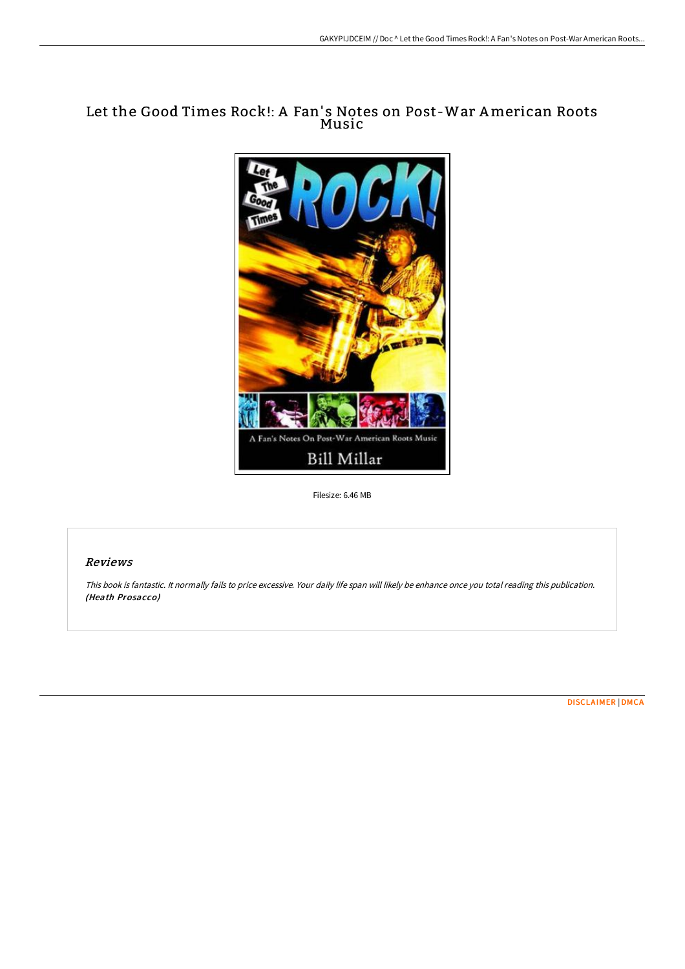# Let the Good Times Rock!: A Fan's Notes on Post-War American Roots Music



Filesize: 6.46 MB

### Reviews

This book is fantastic. It normally fails to price excessive. Your daily life span will likely be enhance once you total reading this publication. (Heath Prosacco)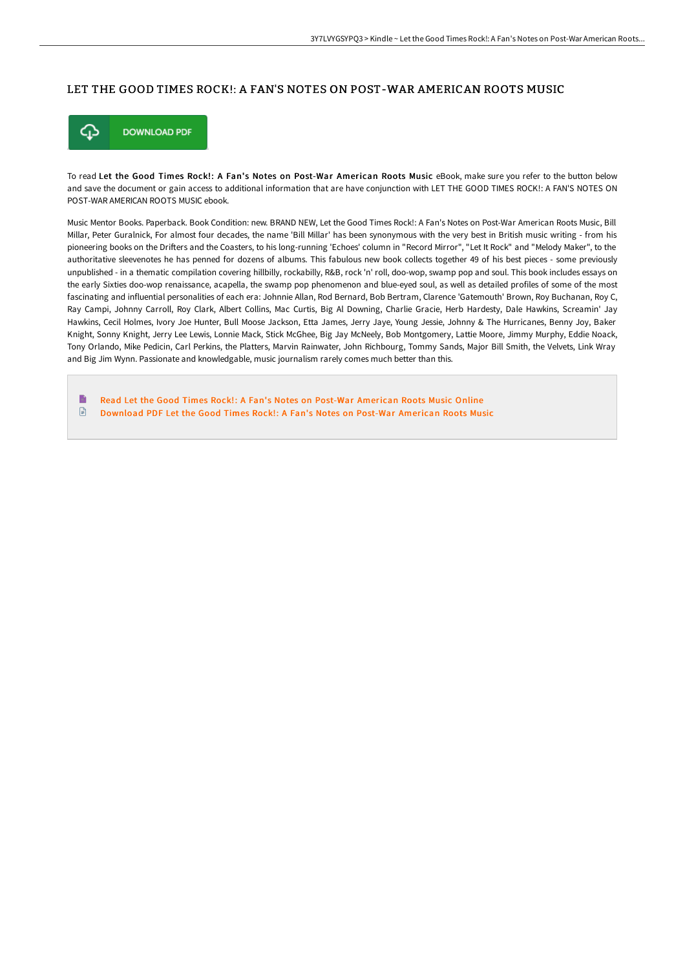#### LET THE GOOD TIMES ROCK!: A FAN'S NOTES ON POST-WAR AMERICAN ROOTS MUSIC



To read Let the Good Times Rock!: A Fan's Notes on Post-War American Roots Music eBook, make sure you refer to the button below and save the document or gain access to additional information that are have conjunction with LET THE GOOD TIMES ROCK!: A FAN'S NOTES ON POST-WAR AMERICAN ROOTS MUSIC ebook.

Music Mentor Books. Paperback. Book Condition: new. BRAND NEW, Let the Good Times Rock!: A Fan's Notes on Post-War American Roots Music, Bill Millar, Peter Guralnick, For almost four decades, the name 'Bill Millar' has been synonymous with the very best in British music writing - from his pioneering books on the Drifters and the Coasters, to his long-running 'Echoes' column in "Record Mirror", "Let It Rock" and "Melody Maker", to the authoritative sleevenotes he has penned for dozens of albums. This fabulous new book collects together 49 of his best pieces - some previously unpublished - in a thematic compilation covering hillbilly, rockabilly, R&B, rock 'n' roll, doo-wop, swamp pop and soul. This book includes essays on the early Sixties doo-wop renaissance, acapella, the swamp pop phenomenon and blue-eyed soul, as well as detailed profiles of some of the most fascinating and influential personalities of each era: Johnnie Allan, Rod Bernard, Bob Bertram, Clarence 'Gatemouth' Brown, Roy Buchanan, Roy C, Ray Campi, Johnny Carroll, Roy Clark, Albert Collins, Mac Curtis, Big Al Downing, Charlie Gracie, Herb Hardesty, Dale Hawkins, Screamin' Jay Hawkins, Cecil Holmes, Ivory Joe Hunter, Bull Moose Jackson, Etta James, Jerry Jaye, Young Jessie, Johnny & The Hurricanes, Benny Joy, Baker Knight, Sonny Knight, Jerry Lee Lewis, Lonnie Mack, Stick McGhee, Big Jay McNeely, Bob Montgomery, Lattie Moore, Jimmy Murphy, Eddie Noack, Tony Orlando, Mike Pedicin, Carl Perkins, the Platters, Marvin Rainwater, John Richbourg, Tommy Sands, Major Bill Smith, the Velvets, Link Wray and Big Jim Wynn. Passionate and knowledgable, music journalism rarely comes much better than this.

B Read Let the Good Times Rock!: A Fan's Notes on Post-War [American](http://bookera.tech/let-the-good-times-rock-a-fan-x27-s-notes-on-pos.html) Roots Music Online  $\begin{array}{c} \hline \Xi \end{array}$ [Download](http://bookera.tech/let-the-good-times-rock-a-fan-x27-s-notes-on-pos.html) PDF Let the Good Times Rock!: A Fan's Notes on Post-War American Roots Music